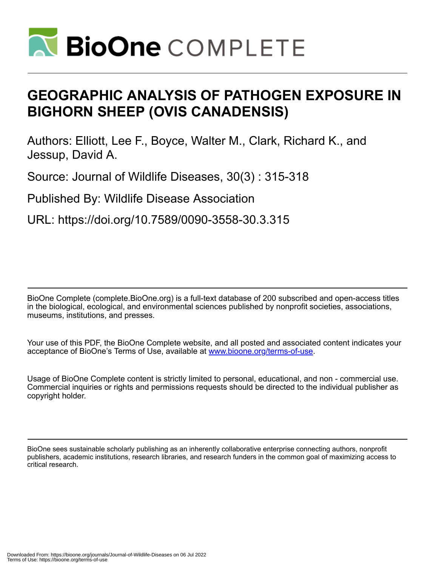

# **GEOGRAPHIC ANALYSIS OF PATHOGEN EXPOSURE IN BIGHORN SHEEP (OVIS CANADENSIS)**

Authors: Elliott, Lee F., Boyce, Walter M., Clark, Richard K., and Jessup, David A.

Source: Journal of Wildlife Diseases, 30(3) : 315-318

Published By: Wildlife Disease Association

URL: https://doi.org/10.7589/0090-3558-30.3.315

BioOne Complete (complete.BioOne.org) is a full-text database of 200 subscribed and open-access titles in the biological, ecological, and environmental sciences published by nonprofit societies, associations, museums, institutions, and presses.

Your use of this PDF, the BioOne Complete website, and all posted and associated content indicates your acceptance of BioOne's Terms of Use, available at www.bioone.org/terms-of-use.

Usage of BioOne Complete content is strictly limited to personal, educational, and non - commercial use. Commercial inquiries or rights and permissions requests should be directed to the individual publisher as copyright holder.

BioOne sees sustainable scholarly publishing as an inherently collaborative enterprise connecting authors, nonprofit publishers, academic institutions, research libraries, and research funders in the common goal of maximizing access to critical research.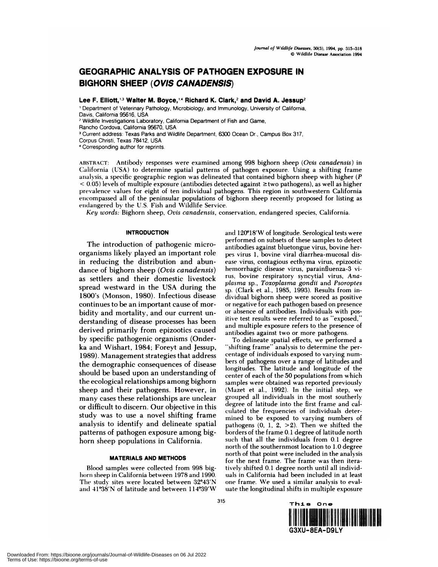## **GEOGRAPHIC ANALYSIS OF PATHOGEN EXPOSURE IN BIGHORN SHEEP (OVIS CANADENSIS)**

**Lee F. Elliott,13 Walter M. Boyce,14 Richard K. Clark,2 and David A. Jessup2**

Department of Veterinary Pathology, Microbiology, and Immunology, University of California, Davis, California 95616, USA

**<sup>2</sup>** Wildlife Investigations Laboratory, California Department of Fish and Game,

Current address: Texas Parks and Wildlife Department, 6300 Ocean Dr., Campus Box 317,

Corpus Christi, Texas 78412, USA

Corresponding author for reprints.

ABSTRACT: Antibody responses were examined among 998 bighorn sheep *(Ovis canadensis)* in California (USA) to determine spatial patterns of pathogen exposure. Using a shifting frame analysis, a specific geographic region was delineated that contained bighorn sheep with higher *(P*  $< 0.05$ ) levels of multiple exposure (antibodies detected against  $\ge$ two pathogens), as well as higher prevalence values for eight of ten individual pathogens. This region in southwestern California encompassed all of the peninsular populations of bighorn sheep recently proposed for listing as endangered by the U.S. Fish and Wildlife Service.

*Key words:* Bighorn sheep, *Ovis canadensis,* conservation, endangered species, California.

#### **INTRODUCTION**

The introduction of pathogenic microorganisms likely played an important role in reducing the distribution and abundance of bighorn sheep *(Ovis canadensis)* as settlers and their domestic livestock spread westward in the USA during the 1800's (Monson, 1980). Infectious disease continues to be an important cause of mor bidity and mortality, and our current un derstanding of disease processes has been derived primarily from epizootics caused by specific pathogenic organisms (Onderka and Wishart, 1984; Foreyt and Jessup, 1989). Management strategies that address the demographic consequences of disease should be based upon an understanding of the ecological relationships among bighorn sheep and their pathogens. However, in many cases these relationships are unclear or difficult to discern. Our objective in this study was to use a novel shifting frame analysis to identify and delineate spatial patterns of pathogen exposure among bighorn sheep populations in California.

#### **MATERIALS AND METHODS**

Blood samples were collected from 998 bighorn sheep in California between 1978 and 1990. The study sites were located between 32°43'N and  $41^{\circ}38'N$  of latitude and between  $114^{\circ}39'W$  and 120°18'W of longitude. Serological tests were performed on subsets of these samples to detect antibodies against bluetongue virus, bovine herpes virus 1, bovine viral diarrhea-mucosal dis ease virus, contagious ecthyma virus, epizootic hemorrhagic disease virus, parainfluenza-3 virus, bovine respiratory syncytial virus, *Anaplasma* sp., *Toxoplasma gondii* and *Psoroptes* sp. (Clark et al., 1985, 1993). Results from individual bighorn sheep were scored as positive or negative for each pathogen based on presence or absence of antibodies. Individuals with positive test results were referred to as "exposed," and multiple exposure refers to the presence of antibodies against two or more pathogens.

To delineate spatial effects, we performed a "shifting frame" analysis to determine the percentage of individuals exposed to varying num bers of pathogens over a range of latitudes and longitudes. The latitude and longitude of the center of each of the 50 populations from which samples were obtained was reported previously (Mazet et al., 1992). In the initial step, we grouped all individuals in the most southerly degree of latitude into the first frame and calculated the frequencies of individuals determined to be exposed to varying numbers of pathogens  $(0, 1, 2, >2)$ . Then we shifted the borders of the frame 0.1 degree of latitude north such that all the individuals from 0.1 degree north of the southernmost location to 1.0 degree north of that point were included in the analysis for the next frame. The frame was then iteratively shifted 0.1 degree north until all individuals in California had been included in at least one frame. We used a similar analysis to evaluate the longitudinal shifts in multiple exposure



Rancho Cordova, California 95670, USA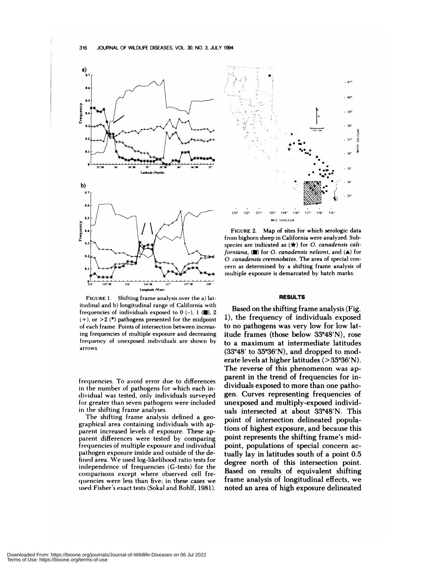

**FIGURE** 1. Shifting frame analysis over the a) lat itudinal and b) longitudinal range of California with frequencies of individuals exposed to  $0$  (-),  $1$  ( $\blacksquare$ ), 2 **(+),** or >2 *(\*)* pathogens presented for the midpoint of each frame. Points of intersection between increasing frequencies of multiple exposure and decreasing frequency of unexposed individuals are shown by arrows.

frequencies. To avoid error due to differences in the number of pathogens for which each individual was tested, only individuals surveyed for greater than seven pathogens were included in the shifting frame analyses.

The shifting frame analysis defined a geographical area containing individuals with apparent increased levels of exposure. These apparent differences were tested by comparing frequencies of multiple exposure and individual pathogen exposure inside and outside of the defined area. We used log-likelihood ratio tests for independence of frequencies (G-tests) for the comparisons except where observed cell frequencies were less than five; in these cases we used Fisher's exact tests (Sokal and Rohlf, 1981).



**FIGURE** 2. Map of sites for which serologic data from bighorn sheep in California were analyzed. Subspecies are indicated as  $(\star)$  for *O. canadensis californiana,* **(U)** for *0. canadensls nelsoni,* and (A) for *0. canadensls cremnobates.* The area of special con cern as determined by a shifting frame analysis of multiple exposure is demarcated by hatch marks.

#### **RESULTS**

Based on the shifting frame analysis (Fig. 1), the frequency of individuals exposed to no pathogens was very low for low latitude frames (those below  $33^{\circ}48'N$ ), rose to a maximum at intermediate latitudes  $(33°48'$  to  $35°36'N)$ , and dropped to moderate levels at higher latitudes  $(>35°36'N)$ . The reverse of this phenomenon was apparent in the trend of frequencies for individuals exposed to more than one pathogen. Curves representing frequencies of unexposed and multiply-exposed individuals intersected at about 33°48'N. This point of intersection delineated populations of highest exposure, and because this point represents the shifting frame's midpoint, populations of special concern actually lay in latitudes south of a point 0.5 degree north of this intersection point. Based on results of equivalent shifting frame analysis of longitudinal effects, we noted an area of high exposure delineated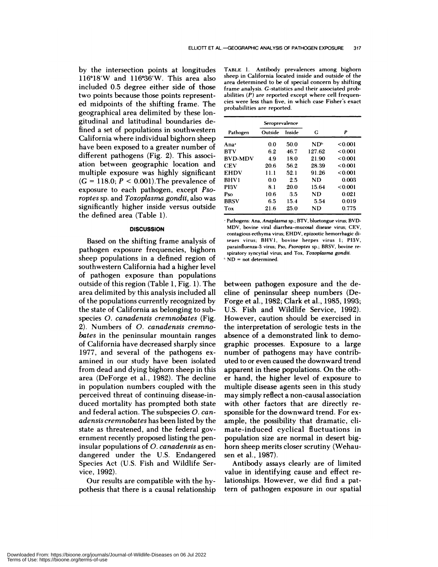by the intersection points at longitudes  $116°18'W$  and  $116°36'W$ . This area also included 0.5 degree either side of those two points because those points represented midpoints of the shifting frame. The geographical area delimited by these longitudinal and latitudinal boundaries defined a set of populations in southwestern California where individual bighorn sheep have been exposed to a greater number of different pathogens (Fig. 2). This association between geographic location and multiple exposure was highly significant  $(G = 118.0; P < 0.001)$ . The prevalence of exposure to each pathogen, except *Psoroptes* sp. and *Toxoplasma gondii,* also was significantly higher inside versus outside the defined area (Table 1).

#### **DISCUSSION**

Based on the shifting frame analysis of pathogen exposure frequencies, bighorn sheep populations in a defined region of southwestern California had a higher level of pathogen exposure than populations outside of this region (Table 1, Fig. 1). The area delimited by this analysis included all of the populations currently recognized by the state of California as belonging to subspecies *0. canadensis cremnobates* (Fig. 2). Numbers of *0. canadensis cremno bates* in the peninsular mountain ranges of California have decreased sharply since 1977, and several of the pathogens ex amined in our study have been isolated from dead and dying bighorn sheep in this area (DeForge et al., 1982). The decline in population numbers coupled with the perceived threat of continuing disease-induced mortality has prompted both state and federal action. The subspecies *0. can adensis cremnobates* has been listed by the state as threatened, and the federal government recently proposed listing the peninsular populations of *0. canadensis* as en dangered under the U.S. Endangered Species Act (U.S. Fish and Wildlife Service, 1992).

Our results are compatible with the hypothesis that there is a causal relationship

**TABLE** 1. Antibody prevalences among bighorn sheep in California located inside and outside of the area determined to be of special concern by shifting frame analysis. C-statistics and their associated probabilities *(P)* are reported except where cell frequencies were less than five, in which case Fisher's exact probabilities are reported.

|                | Seroprevalence |        |        |         |
|----------------|----------------|--------|--------|---------|
| Pathogen       | Outside        | Inside | G      | P       |
| Ana*           | 0.0            | 50.0   | NDʰ    | <0.001  |
| BTV            | 6.2            | 46.7   | 127.62 | <0.001  |
| <b>BVD-MDV</b> | 4.9            | 18.0   | 21.90  | < 0.001 |
| CEV            | 20.6           | 56.2   | 28.39  | <0.001  |
| <b>EHDV</b>    | 11.1           | 52.1   | 91.26  | <0.001  |
| <b>BHV1</b>    | 0.0            | 2.5    | ND     | 0.003   |
| PI3V           | 8.1            | 20.0   | 15.64  | < 0.001 |
| Pso            | 10.6           | 3.5    | ND     | 0.021   |
| BRSV           | 6.5            | 15.4   | 5.54   | 0.019   |
| Tox            | 21.6           | 25.0   | ND     | 0.775   |

Pathogens: Ana, *Anaplasma* sp.; BTV, bluetongue virus; BVD- MDV, bovine viral diarrhea-mucosal disease virus; CEV, contagious ecthyma virus; EHDV, epizootic hemorrhagic di seaes virus; BHV1, bovine herpes virus 1; PI3V, parainfluenza-3 virus; Pso, *Psoroptes* sp.; BRSV, bovine re spiratory syncytial virus; and Tox, *Toxoplasma gondli.* 'ND <sup>=</sup> not determined.

between pathogen exposure and the decline of peninsular sheep numbers (De-Forge et al., 1982; Clark et al., 1985, 1993; U.S. Fish and Wildlife Service, 1992). However, caution should be exercised in the interpretation of serologic tests in the absence of a demonstrated link to demographic processes. Exposure to a large number of pathogens may have contributed to or even caused the downward trend apparent in these populations. On the oth er hand, the higher level of exposure to multiple disease agents seen in this study may simply reflect a non-causal association with other factors that are directly re sponsible for the downward trend. For ex ample, the possibility that dramatic, climate-induced cyclical fluctuations in population size are normal in desert bighorn sheep merits closer scrutiny (Wehau sen et a!., 1987).

Antibody assays clearly are of limited value in identifying cause and effect relationships. However, we did find a pattern of pathogen exposure in our spatial